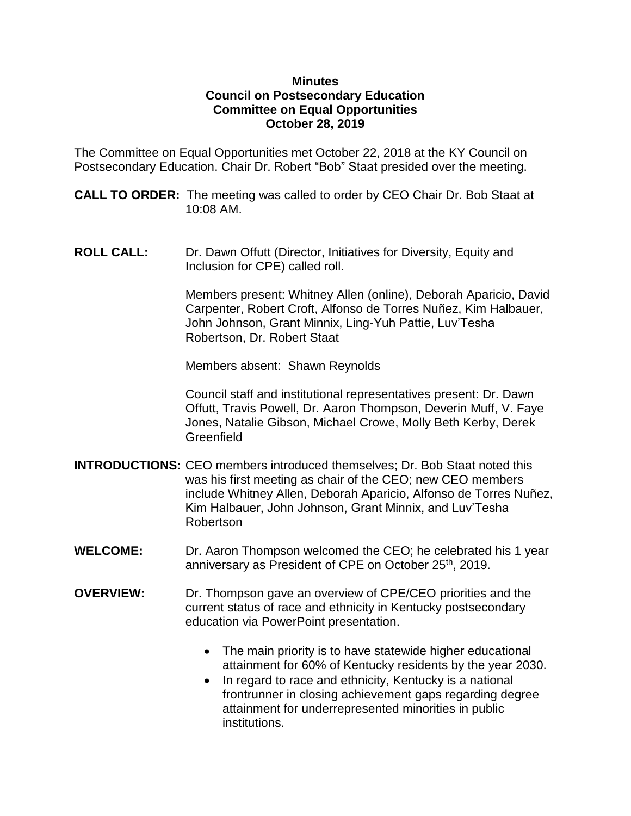## **Minutes Council on Postsecondary Education Committee on Equal Opportunities October 28, 2019**

The Committee on Equal Opportunities met October 22, 2018 at the KY Council on Postsecondary Education. Chair Dr. Robert "Bob" Staat presided over the meeting.

**CALL TO ORDER:** The meeting was called to order by CEO Chair Dr. Bob Staat at 10:08 AM.

**ROLL CALL:** Dr. Dawn Offutt (Director, Initiatives for Diversity, Equity and Inclusion for CPE) called roll.

> Members present: Whitney Allen (online), Deborah Aparicio, David Carpenter, Robert Croft, Alfonso de Torres Nuñez, Kim Halbauer, John Johnson, Grant Minnix, Ling-Yuh Pattie, Luv'Tesha Robertson, Dr. Robert Staat

Members absent: Shawn Reynolds

Council staff and institutional representatives present: Dr. Dawn Offutt, Travis Powell, Dr. Aaron Thompson, Deverin Muff, V. Faye Jones, Natalie Gibson, Michael Crowe, Molly Beth Kerby, Derek **Greenfield** 

- **INTRODUCTIONS:** CEO members introduced themselves; Dr. Bob Staat noted this was his first meeting as chair of the CEO; new CEO members include Whitney Allen, Deborah Aparicio, Alfonso de Torres Nuñez, Kim Halbauer, John Johnson, Grant Minnix, and Luv'Tesha Robertson
- **WELCOME:** Dr. Aaron Thompson welcomed the CEO; he celebrated his 1 year anniversary as President of CPE on October 25<sup>th</sup>, 2019.
- **OVERVIEW:** Dr. Thompson gave an overview of CPE/CEO priorities and the current status of race and ethnicity in Kentucky postsecondary education via PowerPoint presentation.
	- The main priority is to have statewide higher educational attainment for 60% of Kentucky residents by the year 2030.
	- In regard to race and ethnicity, Kentucky is a national frontrunner in closing achievement gaps regarding degree attainment for underrepresented minorities in public institutions.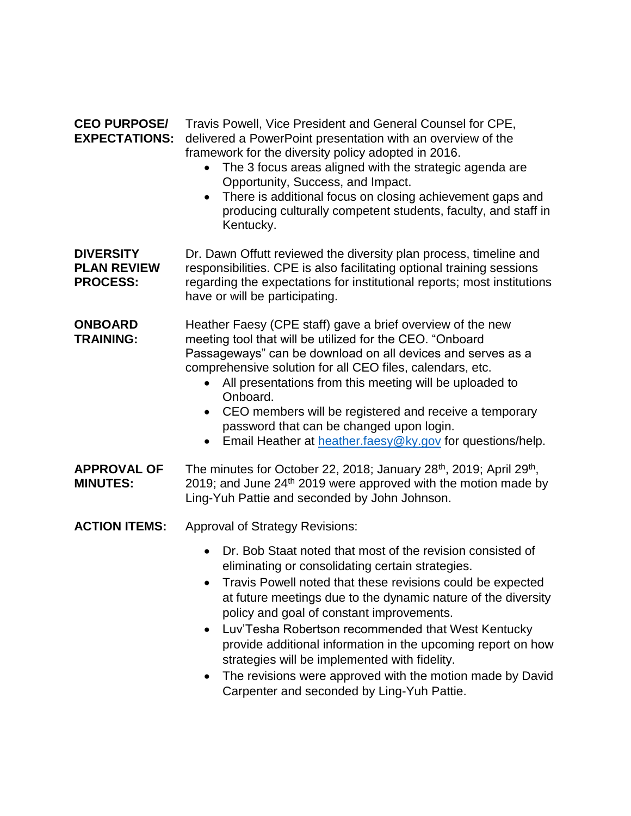**CEO PURPOSE/** Travis Powell, Vice President and General Counsel for CPE, **EXPECTATIONS:** delivered a PowerPoint presentation with an overview of the framework for the diversity policy adopted in 2016.

- The 3 focus areas aligned with the strategic agenda are Opportunity, Success, and Impact.
- There is additional focus on closing achievement gaps and producing culturally competent students, faculty, and staff in Kentucky.

**DIVERSITY** Dr. Dawn Offutt reviewed the diversity plan process, timeline and **PLAN REVIEW** responsibilities. CPE is also facilitating optional training sessions **PROCESS:** regarding the expectations for institutional reports; most institutions have or will be participating.

**ONBOARD** Heather Faesy (CPE staff) gave a brief overview of the new **TRAINING:** meeting tool that will be utilized for the CEO. "Onboard Passageways" can be download on all devices and serves as a comprehensive solution for all CEO files, calendars, etc.

- All presentations from this meeting will be uploaded to Onboard.
- CEO members will be registered and receive a temporary password that can be changed upon login.
- **Email Heather at [heather.faesy@ky.gov](mailto:heather.faesy@ky.gov) for questions/help.**

APPROVAL OF The minutes for October 22, 2018; January 28<sup>th</sup>, 2019; April 29<sup>th</sup>, **MINUTES:** 2019; and June 24<sup>th</sup> 2019 were approved with the motion made by Ling-Yuh Pattie and seconded by John Johnson.

**ACTION ITEMS:** Approval of Strategy Revisions:

- Dr. Bob Staat noted that most of the revision consisted of eliminating or consolidating certain strategies.
- Travis Powell noted that these revisions could be expected at future meetings due to the dynamic nature of the diversity policy and goal of constant improvements.
- Luv'Tesha Robertson recommended that West Kentucky provide additional information in the upcoming report on how strategies will be implemented with fidelity.
- The revisions were approved with the motion made by David Carpenter and seconded by Ling-Yuh Pattie.